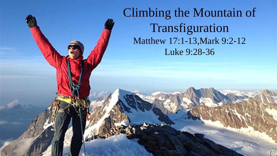Climbing the Mountain of Transfiguration Matthew 17:1-13,Mark 9:2-12 Luke 9:28-36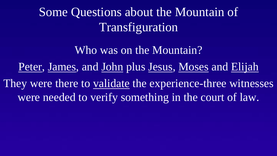Some Questions about the Mountain of Transfiguration

Who was on the Mountain? Peter, James, and John plus Jesus, Moses and Elijah They were there to validate the experience-three witnesses were needed to verify something in the court of law.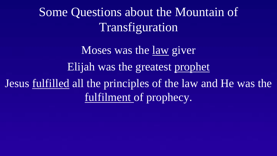Some Questions about the Mountain of Transfiguration

Moses was the law giver Elijah was the greatest prophet Jesus fulfilled all the principles of the law and He was the fulfilment of prophecy.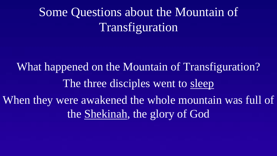# Some Questions about the Mountain of Transfiguration

What happened on the Mountain of Transfiguration? The three disciples went to sleep When they were awakened the whole mountain was full of the Shekinah, the glory of God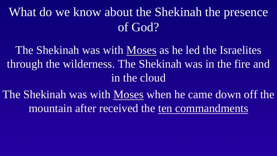What do we know about the Shekinah the presence of God?

The Shekinah was with Moses as he led the Israelites through the wilderness. The Shekinah was in the fire and in the cloud

The Shekinah was with Moses when he came down off the mountain after received the ten commandments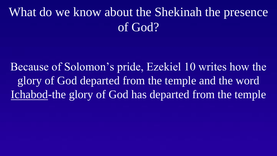## What do we know about the Shekinah the presence of God?

Because of Solomon's pride, Ezekiel 10 writes how the glory of God departed from the temple and the word Ichabod-the glory of God has departed from the temple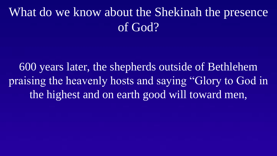## What do we know about the Shekinah the presence of God?

600 years later, the shepherds outside of Bethlehem praising the heavenly hosts and saying "Glory to God in the highest and on earth good will toward men,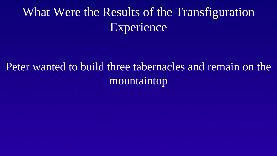# What Were the Results of the Transfiguration Experience

#### Peter wanted to build three tabernacles and remain on the mountaintop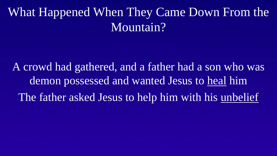### What Happened When They Came Down From the Mountain?

A crowd had gathered, and a father had a son who was demon possessed and wanted Jesus to heal him The father asked Jesus to help him with his unbelief